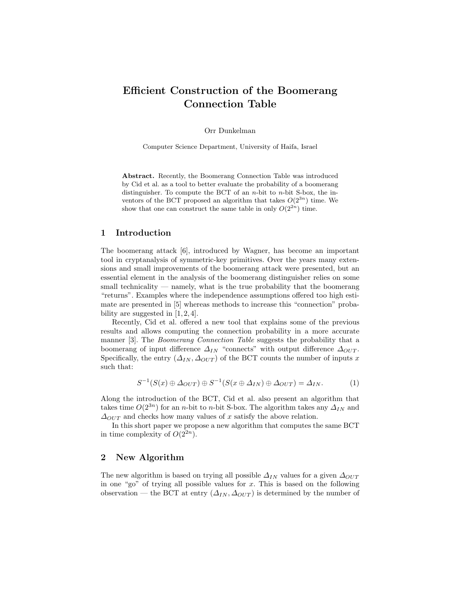# Efficient Construction of the Boomerang Connection Table

Orr Dunkelman

Computer Science Department, University of Haifa, Israel

Abstract. Recently, the Boomerang Connection Table was introduced by Cid et al. as a tool to better evaluate the probability of a boomerang distinguisher. To compute the BCT of an  $n$ -bit to  $n$ -bit S-box, the inventors of the BCT proposed an algorithm that takes  $O(2^{3n})$  time. We show that one can construct the same table in only  $O(2^{2n})$  time.

## 1 Introduction

The boomerang attack [6], introduced by Wagner, has become an important tool in cryptanalysis of symmetric-key primitives. Over the years many extensions and small improvements of the boomerang attack were presented, but an essential element in the analysis of the boomerang distinguisher relies on some small technicality — namely, what is the true probability that the boomerang "returns". Examples where the independence assumptions offered too high estimate are presented in [5] whereas methods to increase this "connection" probability are suggested in  $[1, 2, 4]$ .

Recently, Cid et al. offered a new tool that explains some of the previous results and allows computing the connection probability in a more accurate manner [3]. The *Boomerang Connection Table* suggests the probability that a boomerang of input difference  $\Delta_{IN}$  "connects" with output difference  $\Delta_{OUT}$ . Specifically, the entry  $(\Delta_{IN}, \Delta_{OUT})$  of the BCT counts the number of inputs x such that:

$$
S^{-1}(S(x) \oplus \Delta_{OUT}) \oplus S^{-1}(S(x \oplus \Delta_{IN}) \oplus \Delta_{OUT}) = \Delta_{IN}.
$$
 (1)

Along the introduction of the BCT, Cid et al. also present an algorithm that takes time  $O(2^{3n})$  for an n-bit to n-bit S-box. The algorithm takes any  $\Delta_{IN}$  and  $\Delta_{OUT}$  and checks how many values of x satisfy the above relation.

In this short paper we propose a new algorithm that computes the same BCT in time complexity of  $O(2^{2n})$ .

## 2 New Algorithm

The new algorithm is based on trying all possible  $\Delta_{IN}$  values for a given  $\Delta_{OUT}$ in one "go" of trying all possible values for  $x$ . This is based on the following observation — the BCT at entry  $(\Delta_{IN}, \Delta_{OUT})$  is determined by the number of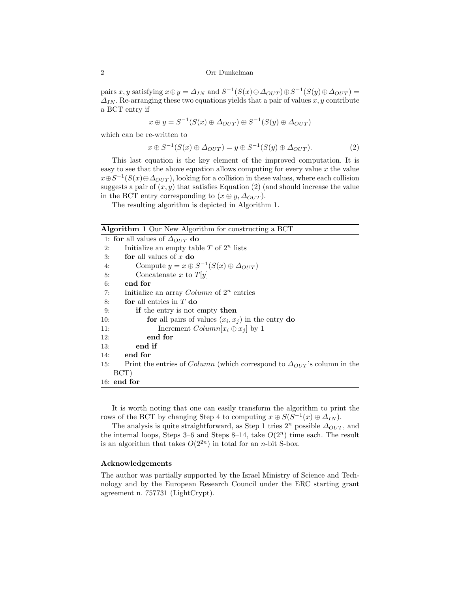#### 2 Orr Dunkelman

pairs x, y satisfying  $x \oplus y = \Delta_{IN}$  and  $S^{-1}(S(x) \oplus \Delta_{OUT}) \oplus S^{-1}(S(y) \oplus \Delta_{OUT}) =$  $\Delta_{IN}$ . Re-arranging these two equations yields that a pair of values x, y contribute a BCT entry if

$$
x \oplus y = S^{-1}(S(x) \oplus \Delta_{OUT}) \oplus S^{-1}(S(y) \oplus \Delta_{OUT})
$$

which can be re-written to

$$
x \oplus S^{-1}(S(x) \oplus \Delta_{OUT}) = y \oplus S^{-1}(S(y) \oplus \Delta_{OUT}). \tag{2}
$$

This last equation is the key element of the improved computation. It is easy to see that the above equation allows computing for every value  $x$  the value  $x \oplus S^{-1}(S(x) \oplus \Delta_{OUT})$ , looking for a collision in these values, where each collision suggests a pair of  $(x, y)$  that satisfies Equation (2) (and should increase the value in the BCT entry corresponding to  $(x \oplus y, \Delta_{OUT})$ .

The resulting algorithm is depicted in Algorithm 1.

|  | Algorithm 1 Our New Algorithm for constructing a BCT |  |
|--|------------------------------------------------------|--|
|  |                                                      |  |

|     | 1: for all values of $\Delta_{OUT}$ do                                                  |  |  |  |  |
|-----|-----------------------------------------------------------------------------------------|--|--|--|--|
| 2:  | Initialize an empty table $T$ of $2^n$ lists                                            |  |  |  |  |
| 3:  | for all values of $x$ do                                                                |  |  |  |  |
| 4:  | Compute $y = x \oplus S^{-1}(S(x) \oplus \Delta_{OUT})$                                 |  |  |  |  |
| 5:  | Concatenate x to $T[y]$                                                                 |  |  |  |  |
| 6:  | end for                                                                                 |  |  |  |  |
| 7:  | Initialize an array $Column\ of\ 2^n$ entries                                           |  |  |  |  |
| 8:  | for all entries in $T$ do                                                               |  |  |  |  |
| 9:  | if the entry is not empty then                                                          |  |  |  |  |
| 10: | for all pairs of values $(x_i, x_j)$ in the entry do                                    |  |  |  |  |
| 11: | Increment $Column[x_i \oplus x_j]$ by 1                                                 |  |  |  |  |
| 12: | end for                                                                                 |  |  |  |  |
| 13: | end if                                                                                  |  |  |  |  |
| 14: | end for                                                                                 |  |  |  |  |
| 15: | Print the entries of <i>Column</i> (which correspond to $\Delta_{OUT}$ 's column in the |  |  |  |  |
|     | $\rm BCT$ )                                                                             |  |  |  |  |
|     | $16:$ end for                                                                           |  |  |  |  |
|     |                                                                                         |  |  |  |  |

It is worth noting that one can easily transform the algorithm to print the rows of the BCT by changing Step 4 to computing  $x \oplus S(S^{-1}(x) \oplus \Delta_{IN})$ .

The analysis is quite straightforward, as Step 1 tries  $2<sup>n</sup>$  possible  $\Delta_{OUT}$ , and the internal loops, Steps 3–6 and Steps 8–14, take  $O(2<sup>n</sup>)$  time each. The result is an algorithm that takes  $O(2^{2n})$  in total for an *n*-bit S-box.

### Acknowledgements

The author was partially supported by the Israel Ministry of Science and Technology and by the European Research Council under the ERC starting grant agreement n. 757731 (LightCrypt).